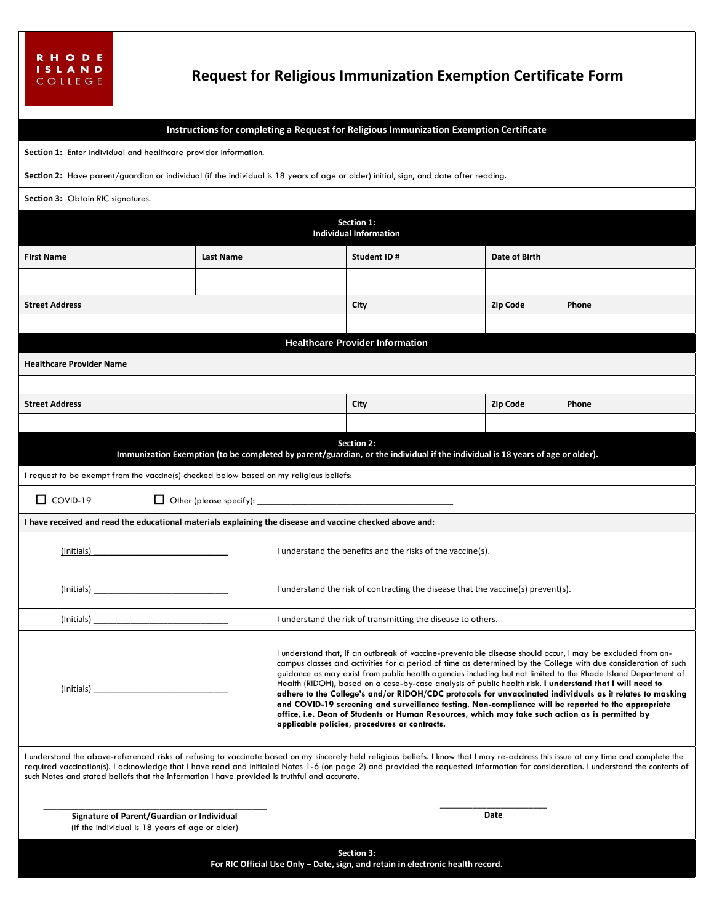## **Request for Religious Immunization Exemption Certificate Form**

## **Instructions for completing a Request for Religious Immunization Exemption Certificate**

| Section 1: Enter individual and healthcare provider information.                                                                                                                                                                                                                                                                                                                                                                                                          |                  |                                                                                                                                                                                                                                                                                                                                                                                                                                                                                                                                                                                                                                                                                                                                                                                                                                 |             |  |                 |       |  |
|---------------------------------------------------------------------------------------------------------------------------------------------------------------------------------------------------------------------------------------------------------------------------------------------------------------------------------------------------------------------------------------------------------------------------------------------------------------------------|------------------|---------------------------------------------------------------------------------------------------------------------------------------------------------------------------------------------------------------------------------------------------------------------------------------------------------------------------------------------------------------------------------------------------------------------------------------------------------------------------------------------------------------------------------------------------------------------------------------------------------------------------------------------------------------------------------------------------------------------------------------------------------------------------------------------------------------------------------|-------------|--|-----------------|-------|--|
| Section 2: Have parent/guardian or individual (if the individual is 18 years of age or older) initial, sign, and date after reading.                                                                                                                                                                                                                                                                                                                                      |                  |                                                                                                                                                                                                                                                                                                                                                                                                                                                                                                                                                                                                                                                                                                                                                                                                                                 |             |  |                 |       |  |
| Section 3: Obtain RIC signatures.                                                                                                                                                                                                                                                                                                                                                                                                                                         |                  |                                                                                                                                                                                                                                                                                                                                                                                                                                                                                                                                                                                                                                                                                                                                                                                                                                 |             |  |                 |       |  |
| Section 1:<br><b>Individual Information</b>                                                                                                                                                                                                                                                                                                                                                                                                                               |                  |                                                                                                                                                                                                                                                                                                                                                                                                                                                                                                                                                                                                                                                                                                                                                                                                                                 |             |  |                 |       |  |
| <b>First Name</b>                                                                                                                                                                                                                                                                                                                                                                                                                                                         | <b>Last Name</b> |                                                                                                                                                                                                                                                                                                                                                                                                                                                                                                                                                                                                                                                                                                                                                                                                                                 | Student ID# |  | Date of Birth   |       |  |
|                                                                                                                                                                                                                                                                                                                                                                                                                                                                           |                  |                                                                                                                                                                                                                                                                                                                                                                                                                                                                                                                                                                                                                                                                                                                                                                                                                                 |             |  |                 |       |  |
| <b>Street Address</b>                                                                                                                                                                                                                                                                                                                                                                                                                                                     |                  |                                                                                                                                                                                                                                                                                                                                                                                                                                                                                                                                                                                                                                                                                                                                                                                                                                 | City        |  | <b>Zip Code</b> | Phone |  |
|                                                                                                                                                                                                                                                                                                                                                                                                                                                                           |                  |                                                                                                                                                                                                                                                                                                                                                                                                                                                                                                                                                                                                                                                                                                                                                                                                                                 |             |  |                 |       |  |
| <b>Healthcare Provider Information</b>                                                                                                                                                                                                                                                                                                                                                                                                                                    |                  |                                                                                                                                                                                                                                                                                                                                                                                                                                                                                                                                                                                                                                                                                                                                                                                                                                 |             |  |                 |       |  |
| <b>Healthcare Provider Name</b>                                                                                                                                                                                                                                                                                                                                                                                                                                           |                  |                                                                                                                                                                                                                                                                                                                                                                                                                                                                                                                                                                                                                                                                                                                                                                                                                                 |             |  |                 |       |  |
|                                                                                                                                                                                                                                                                                                                                                                                                                                                                           |                  |                                                                                                                                                                                                                                                                                                                                                                                                                                                                                                                                                                                                                                                                                                                                                                                                                                 |             |  |                 |       |  |
| <b>Street Address</b>                                                                                                                                                                                                                                                                                                                                                                                                                                                     |                  |                                                                                                                                                                                                                                                                                                                                                                                                                                                                                                                                                                                                                                                                                                                                                                                                                                 | City        |  | <b>Zip Code</b> | Phone |  |
|                                                                                                                                                                                                                                                                                                                                                                                                                                                                           |                  |                                                                                                                                                                                                                                                                                                                                                                                                                                                                                                                                                                                                                                                                                                                                                                                                                                 |             |  |                 |       |  |
| Section 2:<br>Immunization Exemption (to be completed by parent/guardian, or the individual if the individual is 18 years of age or older).                                                                                                                                                                                                                                                                                                                               |                  |                                                                                                                                                                                                                                                                                                                                                                                                                                                                                                                                                                                                                                                                                                                                                                                                                                 |             |  |                 |       |  |
| I request to be exempt from the vaccine(s) checked below based on my religious beliefs:                                                                                                                                                                                                                                                                                                                                                                                   |                  |                                                                                                                                                                                                                                                                                                                                                                                                                                                                                                                                                                                                                                                                                                                                                                                                                                 |             |  |                 |       |  |
| $\Box$ COVID-19                                                                                                                                                                                                                                                                                                                                                                                                                                                           |                  |                                                                                                                                                                                                                                                                                                                                                                                                                                                                                                                                                                                                                                                                                                                                                                                                                                 |             |  |                 |       |  |
| I have received and read the educational materials explaining the disease and vaccine checked above and:                                                                                                                                                                                                                                                                                                                                                                  |                  |                                                                                                                                                                                                                                                                                                                                                                                                                                                                                                                                                                                                                                                                                                                                                                                                                                 |             |  |                 |       |  |
| (Initials)                                                                                                                                                                                                                                                                                                                                                                                                                                                                |                  | I understand the benefits and the risks of the vaccine(s).                                                                                                                                                                                                                                                                                                                                                                                                                                                                                                                                                                                                                                                                                                                                                                      |             |  |                 |       |  |
|                                                                                                                                                                                                                                                                                                                                                                                                                                                                           |                  | I understand the risk of contracting the disease that the vaccine(s) prevent(s).                                                                                                                                                                                                                                                                                                                                                                                                                                                                                                                                                                                                                                                                                                                                                |             |  |                 |       |  |
| $($ Initials $)$                                                                                                                                                                                                                                                                                                                                                                                                                                                          |                  | I understand the risk of transmitting the disease to others.                                                                                                                                                                                                                                                                                                                                                                                                                                                                                                                                                                                                                                                                                                                                                                    |             |  |                 |       |  |
| (Initials)                                                                                                                                                                                                                                                                                                                                                                                                                                                                |                  | I understand that, if an outbreak of vaccine-preventable disease should occur, I may be excluded from on-<br>campus classes and activities for a period of time as determined by the College with due consideration of such<br>guidance as may exist from public health agencies including but not limited to the Rhode Island Department of<br>Health (RIDOH), based on a case-by-case analysis of public health risk. I understand that I will need to<br>adhere to the College's and/or RIDOH/CDC protocols for unvaccinated individuals as it relates to masking<br>and COVID-19 screening and surveillance testing. Non-compliance will be reported to the appropriate<br>office, i.e. Dean of Students or Human Resources, which may take such action as is permitted by<br>applicable policies, procedures or contracts. |             |  |                 |       |  |
| I understand the above-referenced risks of refusing to vaccinate based on my sincerely held religious beliefs. I know that I may re-address this issue at any time and complete the<br>required vaccination(s). I acknowledge that I have read and initialed Notes 1-6 (on page 2) and provided the requested information for consideration. I understand the contents of<br>such Notes and stated beliefs that the information I have provided is truthful and accurate. |                  |                                                                                                                                                                                                                                                                                                                                                                                                                                                                                                                                                                                                                                                                                                                                                                                                                                 |             |  |                 |       |  |
| Signature of Parent/Guardian or Individual<br>(if the individual is 18 years of age or older)                                                                                                                                                                                                                                                                                                                                                                             |                  | Date                                                                                                                                                                                                                                                                                                                                                                                                                                                                                                                                                                                                                                                                                                                                                                                                                            |             |  |                 |       |  |
| Section 3:<br>For RIC Official Use Only - Date, sign, and retain in electronic health record.                                                                                                                                                                                                                                                                                                                                                                             |                  |                                                                                                                                                                                                                                                                                                                                                                                                                                                                                                                                                                                                                                                                                                                                                                                                                                 |             |  |                 |       |  |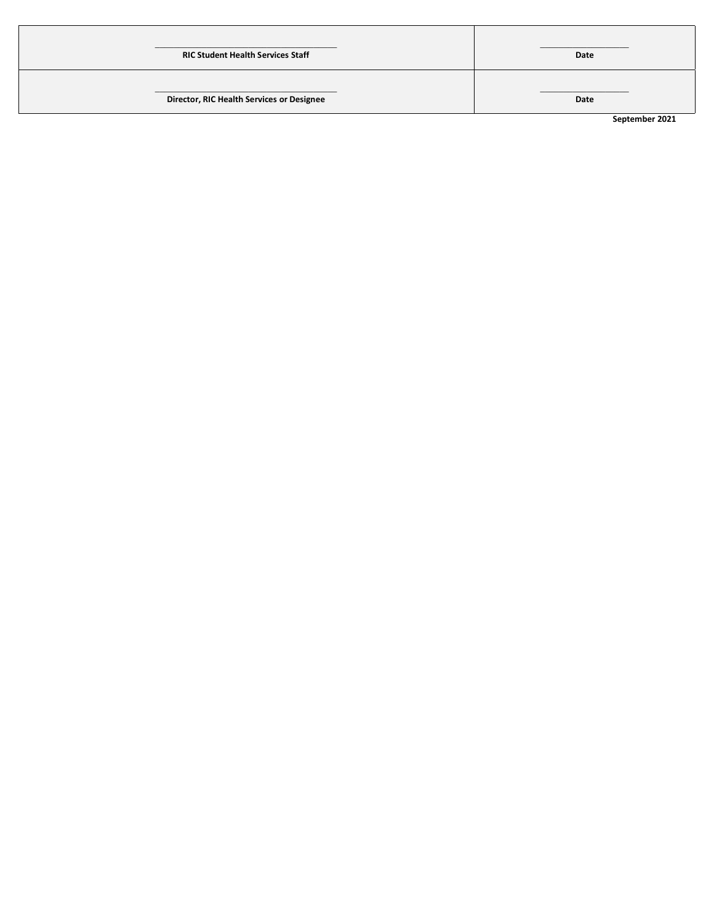| <b>RIC Student Health Services Staff</b>  | Date           |
|-------------------------------------------|----------------|
| Director, RIC Health Services or Designee | Date           |
|                                           | September 2021 |

**September 2021**